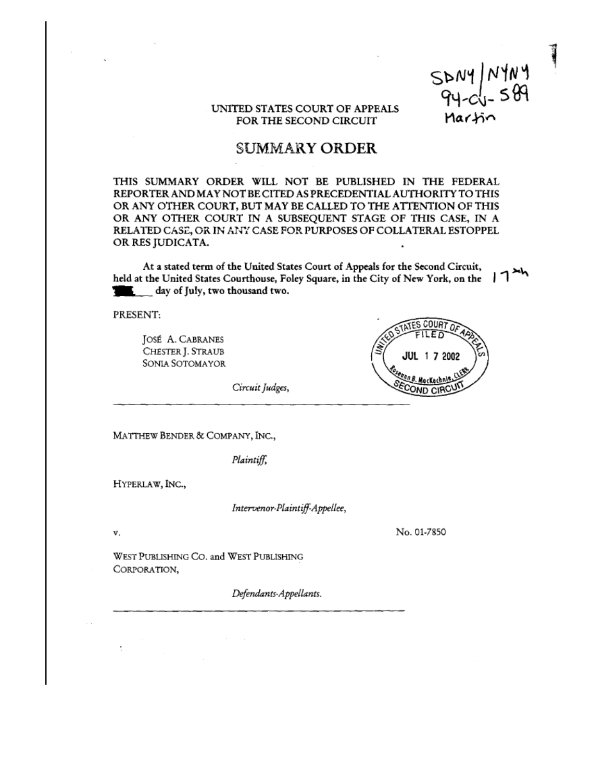$SDMY$   $M104$ <br> $94-c1-589$ Martin

## UNITED STATES COURT OF APPEALS FOR THE SECOND CIRCUIT

## SUMMARY ORDER

THIS SUMMARY ORDER WILL NOT BE PUBLISHED IN THE FEDERAL REPORTER AND MAY NOT BE CITED AS PRECEDENTIAL AUTHORITY TO THIS OR ANY OTHER COURT, BUT MAY BE CALLED TO THE ATTENTION OF THIS OR ANY OTHER COURT IN A SUBSEQUENT STAGE OF THIS CASE, IN A RELATED CASE, OR IN ANY CASE FOR PURPOSES OF COLLATERAL ESTOPPEL OR RES JUDICATA.

At a stated term of the United States Court of Appeals for the Second Circuit, held at the United States Courthouse, Foley Square, in the City of New York, on the 1 day of July, two thousand two.

PRESENT:

Jost A. CABRANES CHESTER J. STRAUB SONIA SOTOMAYOR



Circuit Judges,

MATTHEW BENDER & COMPANY, INC.,

Plaintiff

HYPERLAW, INC.,

Intervenor-Plaintiff-Appellee,

v. No. 01-7850

WEST PUBLISHING CO. and WEST PUBLISHING CORPORATION,

Defendants-Appellants.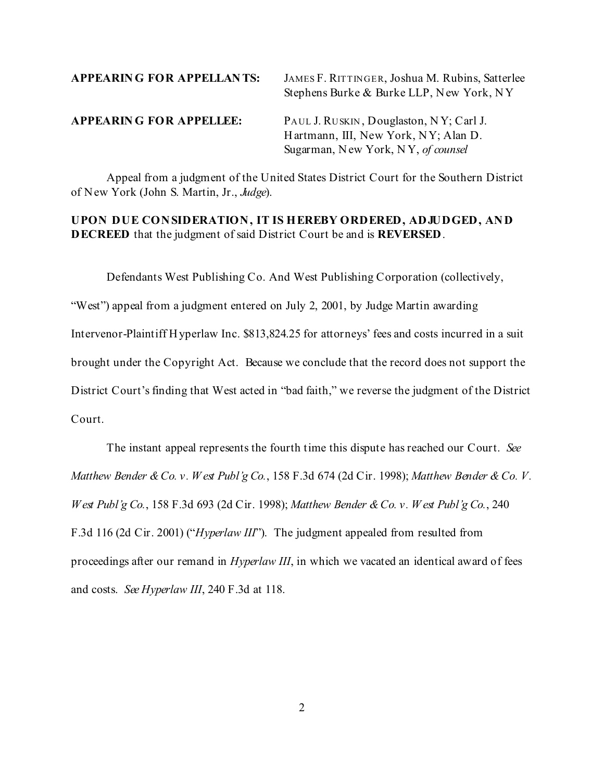| <b>APPEARING FOR APPELLANTS:</b> | JAMES F. RITTINGER, Joshua M. Rubins, Satterlee<br>Stephens Burke & Burke LLP, New York, NY                           |
|----------------------------------|-----------------------------------------------------------------------------------------------------------------------|
| <b>APPEARING FOR APPELLEE:</b>   | PAUL J. RUSKIN, Douglaston, NY; Carl J.<br>Hartmann, III, New York, NY; Alan D.<br>Sugarman, New York, NY, of counsel |

Appeal from a judgment of the United States District Court for the Southern District of New York (John S. Martin, Jr., *Judge*).

## **UPON DUE CONSIDERATION, IT IS HEREBY ORDERED, ADJUDGED, AND DECREED** that the judgment of said District Court be and is **REVERSED**.

Defendants West Publishing Co. And West Publishing Corporation (collectively,

"West") appeal from a judgment entered on July 2, 2001, by Judge Martin awarding Intervenor-Plaintiff Hyperlaw Inc. \$813,824.25 for attorneys' fees and costs incurred in a suit brought under the Copyright Act. Because we conclude that the record does not support the District Court's finding that West acted in "bad faith," we reverse the judgment of the District Court.

The instant appeal represents the fourth time this dispute has reached our Court. *See Matthew Bender & Co. v. W est Publ'g Co.*, 158 F.3d 674 (2d Cir. 1998); *Matthew Bender & Co. V. West Publ'g Co.*, 158 F.3d 693 (2d Cir. 1998); *Matthew Bender & Co. v. W est Publ'g Co.*, 240 F.3d 116 (2d Cir. 2001) ("*Hyperlaw III*"). The judgment appealed from resulted from proceedings after our remand in *Hyperlaw III*, in which we vacated an identical award of fees and costs. *See Hyperlaw III*, 240 F.3d at 118.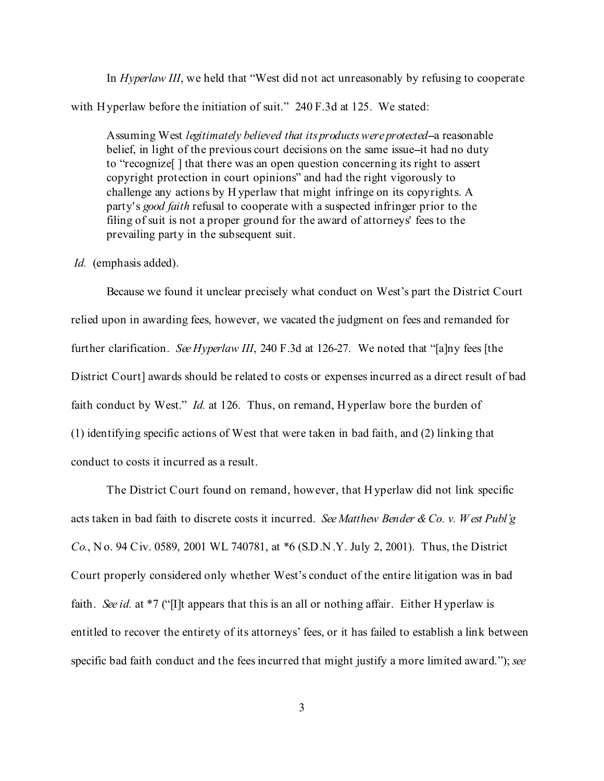In *Hyperlaw III*, we held that "West did not act unreasonably by refusing to cooperate with Hyperlaw before the initiation of suit." 240 F.3d at 125. We stated:

Assuming West *legitimately believed that its products were protected*--a reasonable belief, in light of the previous court decisions on the same issue--it had no duty to "recognize[ ] that there was an open question concerning its right to assert copyright protection in court opinions" and had the right vigorously to challenge any actions by H yperlaw that might infringe on its copyrights. A party's *good faith* refusal to cooperate with a suspected infringer prior to the filing of suit is not a proper ground for the award of attorneys' fees to the prevailing party in the subsequent suit.

## *Id.* (emphasis added).

Because we found it unclear precisely what conduct on West's part the District Court relied upon in awarding fees, however, we vacated the judgment on fees and remanded for further clarification. *See Hyperlaw III*, 240 F.3d at 126-27. We noted that "[a]ny fees [the District Court] awards should be related to costs or expenses incurred as a direct result of bad faith conduct by West." *Id.* at 126. Thus, on remand, Hyperlaw bore the burden of (1) identifying specific actions of West that were taken in bad faith, and (2) linking that conduct to costs it incurred as a result.

The District Court found on remand, however, that H yperlaw did not link specific acts taken in bad faith to discrete costs it incurred. *See Matthew Bender & Co. v. W est Publ'g Co.*, N o. 94 Civ. 0589, 2001 WL 740781, at \*6 (S.D.N .Y. July 2, 2001). Thus, the District Court properly considered only whether West's conduct of the entire litigation was in bad faith. *See id.* at \*7 ("[I]t appears that this is an all or nothing affair. Either H yperlaw is entitled to recover the entirety of its attorneys' fees, or it has failed to establish a link between specific bad faith conduct and the fees incurred that might justify a more limited award."); *see*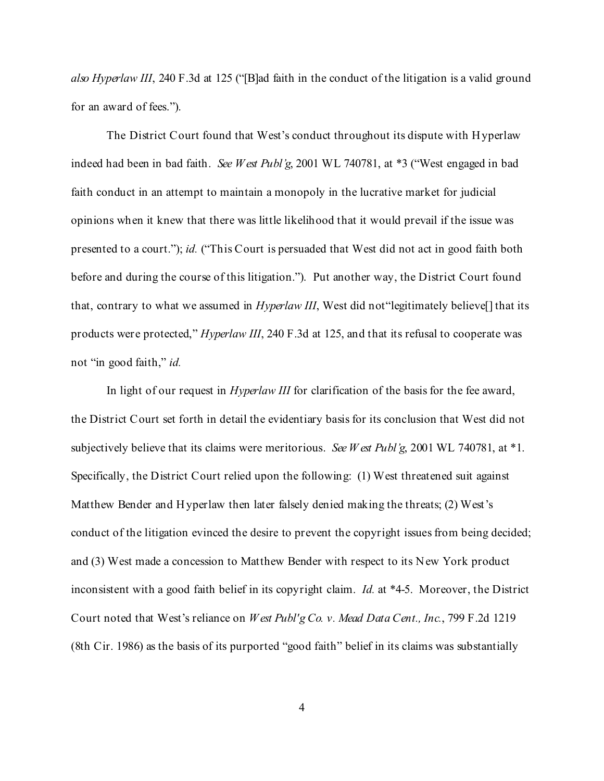*also Hyperlaw III*, 240 F.3d at 125 ("[B]ad faith in the conduct of the litigation is a valid ground for an award of fees.").

The District Court found that West's conduct throughout its dispute with Hyperlaw indeed had been in bad faith. *See West Publ'g*, 2001 WL 740781, at \*3 ("West engaged in bad faith conduct in an attempt to maintain a monopoly in the lucrative market for judicial opinions when it knew that there was little likelihood that it would prevail if the issue was presented to a court."); *id.* ("This Court is persuaded that West did not act in good faith both before and during the course of this litigation."). Put another way, the District Court found that, contrary to what we assumed in *Hyperlaw III*, West did not"legitimately believe[] that its products were protected," *Hyperlaw III*, 240 F.3d at 125, and that its refusal to cooperate was not "in good faith," *id.*

In light of our request in *Hyperlaw III* for clarification of the basis for the fee award, the District Court set forth in detail the evidentiary basis for its conclusion that West did not subjectively believe that its claims were meritorious. *See W est Publ'g*, 2001 WL 740781, at \*1. Specifically, the District Court relied upon the following: (1) West threatened suit against Matthew Bender and Hyperlaw then later falsely denied making the threats; (2) West's conduct of the litigation evinced the desire to prevent the copyright issues from being decided; and (3) West made a concession to Matthew Bender with respect to its New York product inconsistent with a good faith belief in its copyright claim. *Id.* at \*4-5. Moreover, the District Court noted that West's reliance on *West Publ'g Co. v. Mead Data Cent., Inc.*, 799 F.2d 1219 (8th Cir. 1986) as the basis of its purported "good faith" belief in its claims was substantially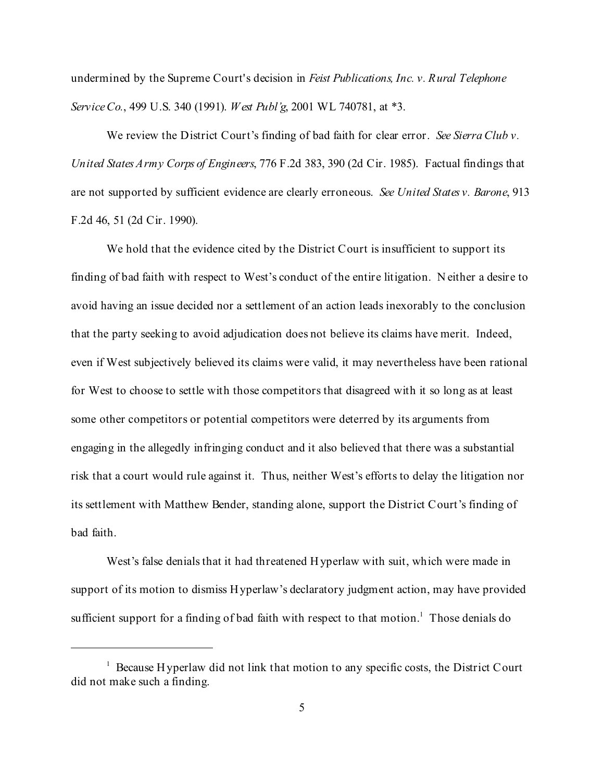undermined by the Supreme Court's decision in *Feist Publications, Inc. v. Rural Telephone Service Co.*, 499 U.S. 340 (1991). *West Publ'g*, 2001 WL 740781, at \*3.

We review the District Court's finding of bad faith for clear error. *See Sierra Club v. United States Army Corps of Engineers*, 776 F.2d 383, 390 (2d Cir. 1985). Factual findings that are not supported by sufficient evidence are clearly erroneous. *See United States v. Barone*, 913 F.2d 46, 51 (2d Cir. 1990).

We hold that the evidence cited by the District Court is insufficient to support its finding of bad faith with respect to West's conduct of the entire litigation. N either a desire to avoid having an issue decided nor a settlement of an action leads inexorably to the conclusion that the party seeking to avoid adjudication does not believe its claims have merit. Indeed, even if West subjectively believed its claims were valid, it may nevertheless have been rational for West to choose to settle with those competitors that disagreed with it so long as at least some other competitors or potential competitors were deterred by its arguments from engaging in the allegedly infringing conduct and it also believed that there was a substantial risk that a court would rule against it. Thus, neither West's efforts to delay the litigation nor its settlement with Matthew Bender, standing alone, support the District Court's finding of bad faith.

West's false denials that it had threatened Hyperlaw with suit, which were made in support of its motion to dismiss Hyperlaw's declaratory judgment action, may have provided sufficient support for a finding of bad faith with respect to that motion.<sup>1</sup> Those denials do

<sup>&</sup>lt;sup>1</sup> Because Hyperlaw did not link that motion to any specific costs, the District Court did not make such a finding.